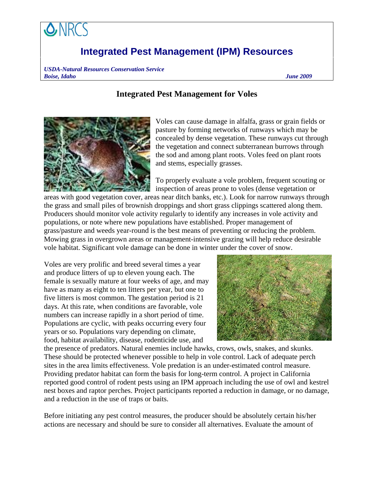## **Integrated Pest Management (IPM) Resources**

*USDA-Natural Resources Conservation Service Boise, Idaho June 2009* 

## **Integrated Pest Management for Voles**



Voles can cause damage in alfalfa, grass or grain fields or pasture by forming networks of runways which may be concealed by dense vegetation. These runways cut through the vegetation and connect subterranean burrows through the sod and among plant roots. Voles feed on plant roots and stems, especially grasses.

To properly evaluate a vole problem, frequent scouting or inspection of areas prone to voles (dense vegetation or

areas with good vegetation cover, areas near ditch banks, etc.). Look for narrow runways through the grass and small piles of brownish droppings and short grass clippings scattered along them. Producers should monitor vole activity regularly to identify any increases in vole activity and populations, or note where new populations have established. Proper management of grass/pasture and weeds year-round is the best means of preventing or reducing the problem. Mowing grass in overgrown areas or management-intensive grazing will help reduce desirable vole habitat. Significant vole damage can be done in winter under the cover of snow.

Voles are very prolific and breed several times a year and produce litters of up to eleven young each. The female is sexually mature at four weeks of age, and may have as many as eight to ten litters per year, but one to five litters is most common. The gestation period is 21 days. At this rate, when conditions are favorable, vole numbers can increase rapidly in a short period of time. Populations are cyclic, with peaks occurring every four years or so. Populations vary depending on climate, food, habitat availability, disease, rodenticide use, and



the presence of predators. Natural enemies include hawks, crows, owls, snakes, and skunks. These should be protected whenever possible to help in vole control. Lack of adequate perch sites in the area limits effectiveness. Vole predation is an under-estimated control measure. Providing predator habitat can form the basis for long-term control. A project in California reported good control of rodent pests using an IPM approach including the use of owl and kestrel nest boxes and raptor perches. Project participants reported a reduction in damage, or no damage, and a reduction in the use of traps or baits.

Before initiating any pest control measures, the producer should be absolutely certain his/her actions are necessary and should be sure to consider all alternatives. Evaluate the amount of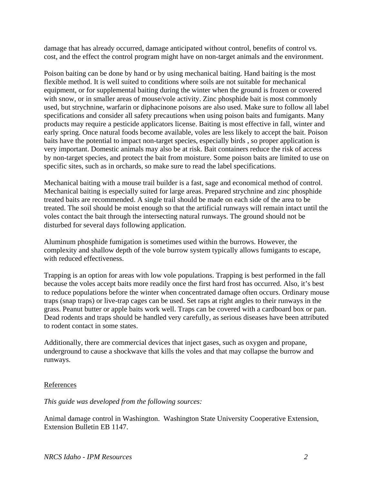damage that has already occurred, damage anticipated without control, benefits of control vs. cost, and the effect the control program might have on non-target animals and the environment.

Poison baiting can be done by hand or by using mechanical baiting. Hand baiting is the most flexible method. It is well suited to conditions where soils are not suitable for mechanical equipment, or for supplemental baiting during the winter when the ground is frozen or covered with snow, or in smaller areas of mouse/vole activity. Zinc phosphide bait is most commonly used, but strychnine, warfarin or diphacinone poisons are also used. Make sure to follow all label specifications and consider all safety precautions when using poison baits and fumigants. Many products may require a pesticide applicators license. Baiting is most effective in fall, winter and early spring. Once natural foods become available, voles are less likely to accept the bait. Poison baits have the potential to impact non-target species, especially birds , so proper application is very important. Domestic animals may also be at risk. Bait containers reduce the risk of access by non-target species, and protect the bait from moisture. Some poison baits are limited to use on specific sites, such as in orchards, so make sure to read the label specifications.

Mechanical baiting with a mouse trail builder is a fast, sage and economical method of control. Mechanical baiting is especially suited for large areas. Prepared strychnine and zinc phosphide treated baits are recommended. A single trail should be made on each side of the area to be treated. The soil should be moist enough so that the artificial runways will remain intact until the voles contact the bait through the intersecting natural runways. The ground should not be disturbed for several days following application.

Aluminum phosphide fumigation is sometimes used within the burrows. However, the complexity and shallow depth of the vole burrow system typically allows fumigants to escape, with reduced effectiveness.

Trapping is an option for areas with low vole populations. Trapping is best performed in the fall because the voles accept baits more readily once the first hard frost has occurred. Also, it's best to reduce populations before the winter when concentrated damage often occurs. Ordinary mouse traps (snap traps) or live-trap cages can be used. Set raps at right angles to their runways in the grass. Peanut butter or apple baits work well. Traps can be covered with a cardboard box or pan. Dead rodents and traps should be handled very carefully, as serious diseases have been attributed to rodent contact in some states.

Additionally, there are commercial devices that inject gases, such as oxygen and propane, underground to cause a shockwave that kills the voles and that may collapse the burrow and runways.

## References

*This guide was developed from the following sources:* 

Animal damage control in Washington. Washington State University Cooperative Extension, Extension Bulletin EB 1147.